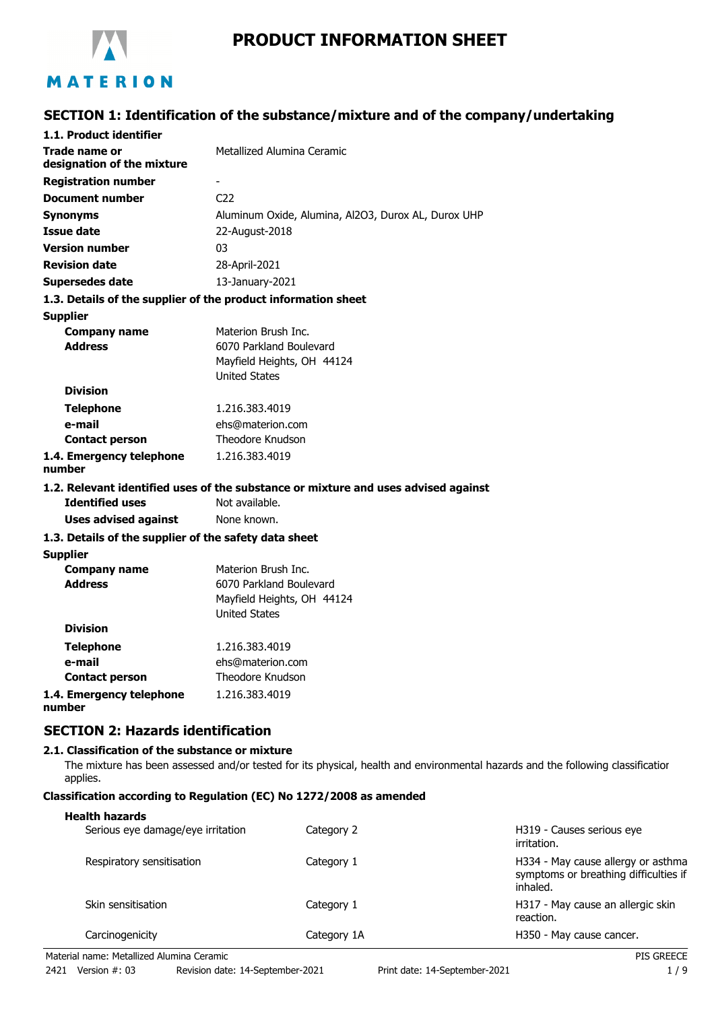

# **PRODUCT INFORMATION SHEET**

# **SECTION 1: Identification of the substance/mixture and of the company/undertaking**

| 1.1. Product identifier                               |                                                                                    |
|-------------------------------------------------------|------------------------------------------------------------------------------------|
| Trade name or<br>designation of the mixture           | Metallized Alumina Ceramic                                                         |
| <b>Registration number</b>                            |                                                                                    |
| <b>Document number</b>                                | C <sub>22</sub>                                                                    |
| <b>Synonyms</b>                                       | Aluminum Oxide, Alumina, Al2O3, Durox AL, Durox UHP                                |
| <b>Issue date</b>                                     | 22-August-2018                                                                     |
| <b>Version number</b>                                 | 03                                                                                 |
| <b>Revision date</b>                                  | 28-April-2021                                                                      |
| <b>Supersedes date</b>                                | 13-January-2021                                                                    |
|                                                       | 1.3. Details of the supplier of the product information sheet                      |
| <b>Supplier</b>                                       |                                                                                    |
| <b>Company name</b>                                   | Materion Brush Inc.                                                                |
| <b>Address</b>                                        | 6070 Parkland Boulevard                                                            |
|                                                       | Mayfield Heights, OH 44124                                                         |
|                                                       | <b>United States</b>                                                               |
| <b>Division</b>                                       |                                                                                    |
| <b>Telephone</b>                                      | 1.216.383.4019                                                                     |
| e-mail                                                | ehs@materion.com                                                                   |
| <b>Contact person</b>                                 | Theodore Knudson                                                                   |
| 1.4. Emergency telephone<br>number                    | 1.216.383.4019                                                                     |
|                                                       | 1.2. Relevant identified uses of the substance or mixture and uses advised against |
| <b>Identified uses</b>                                | Not available.                                                                     |
| <b>Uses advised against</b>                           | None known.                                                                        |
| 1.3. Details of the supplier of the safety data sheet |                                                                                    |
| <b>Supplier</b>                                       |                                                                                    |
| <b>Company name</b>                                   | Materion Brush Inc.                                                                |
| <b>Address</b>                                        | 6070 Parkland Boulevard                                                            |
|                                                       | Mayfield Heights, OH 44124                                                         |
| <b>Division</b>                                       | <b>United States</b>                                                               |
|                                                       |                                                                                    |
| <b>Telephone</b>                                      | 1.216.383.4019                                                                     |
| e-mail                                                | ehs@materion.com                                                                   |
| <b>Contact person</b>                                 | Theodore Knudson                                                                   |
| 1.4. Emergency telephone                              | 1.216.383.4019                                                                     |

**1.4. Emergency telephone number**

## **SECTION 2: Hazards identification**

### **2.1. Classification of the substance or mixture**

The mixture has been assessed and/or tested for its physical, health and environmental hazards and the following classification applies.

## **Classification according to Regulation (EC) No 1272/2008 as amended**

#### **Health hazards**

| Serious eye damage/eye irritation | Category 2  | H319 - Causes serious eye<br>irritation.                                                |
|-----------------------------------|-------------|-----------------------------------------------------------------------------------------|
| Respiratory sensitisation         | Category 1  | H334 - May cause allergy or asthma<br>symptoms or breathing difficulties if<br>inhaled. |
| Skin sensitisation                | Category 1  | H317 - May cause an allergic skin<br>reaction.                                          |
| Carcinogenicity                   | Category 1A | H350 - May cause cancer.                                                                |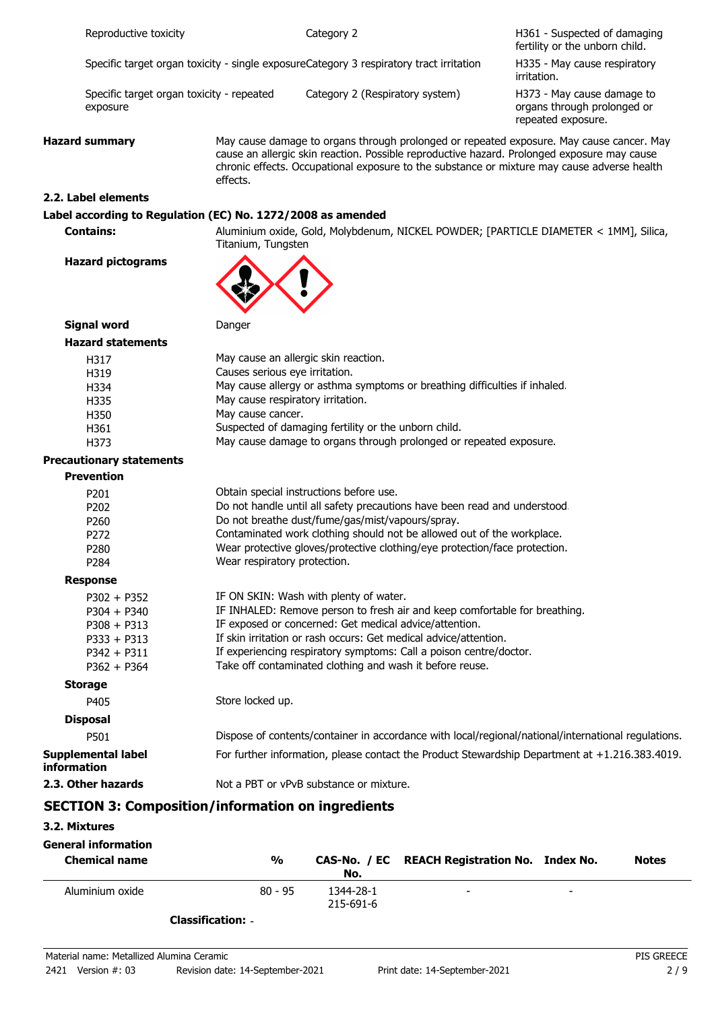|                                   | Reproductive toxicity                                                                              |                                                                                          | Category 2                                                                                                                                                                                                                                                                                                                                                                           | H361 - Suspected of damaging<br>fertility or the unborn child.                  |
|-----------------------------------|----------------------------------------------------------------------------------------------------|------------------------------------------------------------------------------------------|--------------------------------------------------------------------------------------------------------------------------------------------------------------------------------------------------------------------------------------------------------------------------------------------------------------------------------------------------------------------------------------|---------------------------------------------------------------------------------|
|                                   | Specific target organ toxicity - single exposureCategory 3 respiratory tract irritation            |                                                                                          |                                                                                                                                                                                                                                                                                                                                                                                      | H335 - May cause respiratory<br>irritation.                                     |
|                                   | Specific target organ toxicity - repeated<br>exposure                                              |                                                                                          | Category 2 (Respiratory system)                                                                                                                                                                                                                                                                                                                                                      | H373 - May cause damage to<br>organs through prolonged or<br>repeated exposure. |
| <b>Hazard summary</b><br>effects. |                                                                                                    |                                                                                          | May cause damage to organs through prolonged or repeated exposure. May cause cancer. May<br>cause an allergic skin reaction. Possible reproductive hazard. Prolonged exposure may cause<br>chronic effects. Occupational exposure to the substance or mixture may cause adverse health                                                                                               |                                                                                 |
|                                   | 2.2. Label elements                                                                                |                                                                                          |                                                                                                                                                                                                                                                                                                                                                                                      |                                                                                 |
|                                   | Label according to Regulation (EC) No. 1272/2008 as amended                                        |                                                                                          |                                                                                                                                                                                                                                                                                                                                                                                      |                                                                                 |
|                                   | <b>Contains:</b>                                                                                   | Titanium, Tungsten                                                                       | Aluminium oxide, Gold, Molybdenum, NICKEL POWDER; [PARTICLE DIAMETER < 1MM], Silica,                                                                                                                                                                                                                                                                                                 |                                                                                 |
|                                   | <b>Hazard pictograms</b>                                                                           |                                                                                          |                                                                                                                                                                                                                                                                                                                                                                                      |                                                                                 |
|                                   | <b>Signal word</b>                                                                                 | Danger                                                                                   |                                                                                                                                                                                                                                                                                                                                                                                      |                                                                                 |
|                                   | <b>Hazard statements</b>                                                                           |                                                                                          |                                                                                                                                                                                                                                                                                                                                                                                      |                                                                                 |
|                                   | H317<br>H319<br>H334<br>H335<br>H350<br>H361<br>H373<br><b>Precautionary statements</b>            | Causes serious eye irritation.<br>May cause respiratory irritation.<br>May cause cancer. | May cause an allergic skin reaction.<br>May cause allergy or asthma symptoms or breathing difficulties if inhaled.<br>Suspected of damaging fertility or the unborn child.<br>May cause damage to organs through prolonged or repeated exposure.                                                                                                                                     |                                                                                 |
|                                   | <b>Prevention</b>                                                                                  |                                                                                          |                                                                                                                                                                                                                                                                                                                                                                                      |                                                                                 |
|                                   | P201<br>P202<br>P260<br>P272<br>P280<br>P284                                                       | Wear respiratory protection.                                                             | Obtain special instructions before use.<br>Do not handle until all safety precautions have been read and understood.<br>Do not breathe dust/fume/gas/mist/vapours/spray.<br>Contaminated work clothing should not be allowed out of the workplace.<br>Wear protective gloves/protective clothing/eye protection/face protection.                                                     |                                                                                 |
|                                   | <b>Response</b>                                                                                    |                                                                                          |                                                                                                                                                                                                                                                                                                                                                                                      |                                                                                 |
|                                   | $P302 + P352$<br>$P304 + P340$<br>$P308 + P313$<br>$P333 + P313$<br>$P342 + P311$<br>$P362 + P364$ |                                                                                          | IF ON SKIN: Wash with plenty of water.<br>IF INHALED: Remove person to fresh air and keep comfortable for breathing.<br>IF exposed or concerned: Get medical advice/attention.<br>If skin irritation or rash occurs: Get medical advice/attention.<br>If experiencing respiratory symptoms: Call a poison centre/doctor.<br>Take off contaminated clothing and wash it before reuse. |                                                                                 |
|                                   | <b>Storage</b>                                                                                     |                                                                                          |                                                                                                                                                                                                                                                                                                                                                                                      |                                                                                 |
|                                   | P405                                                                                               | Store locked up.                                                                         |                                                                                                                                                                                                                                                                                                                                                                                      |                                                                                 |
|                                   | <b>Disposal</b>                                                                                    |                                                                                          |                                                                                                                                                                                                                                                                                                                                                                                      |                                                                                 |
|                                   | P501                                                                                               |                                                                                          | Dispose of contents/container in accordance with local/regional/national/international regulations.                                                                                                                                                                                                                                                                                  |                                                                                 |
| information                       | <b>Supplemental label</b>                                                                          |                                                                                          | For further information, please contact the Product Stewardship Department at +1.216.383.4019.                                                                                                                                                                                                                                                                                       |                                                                                 |
|                                   | 2.3. Other hazards                                                                                 |                                                                                          | Not a PBT or vPvB substance or mixture.                                                                                                                                                                                                                                                                                                                                              |                                                                                 |
|                                   | <b>SECTION 3: Composition/information on ingredients</b>                                           |                                                                                          |                                                                                                                                                                                                                                                                                                                                                                                      |                                                                                 |

## **3.2. Mixtures**

| <b>General information</b><br><b>Chemical name</b> | %         | No.                    | CAS-No. / EC REACH Registration No. Index No. |   | <b>Notes</b> |
|----------------------------------------------------|-----------|------------------------|-----------------------------------------------|---|--------------|
| Aluminium oxide                                    | $80 - 95$ | 1344-28-1<br>215-691-6 | $\overline{\phantom{0}}$                      | - |              |

**Classification:** -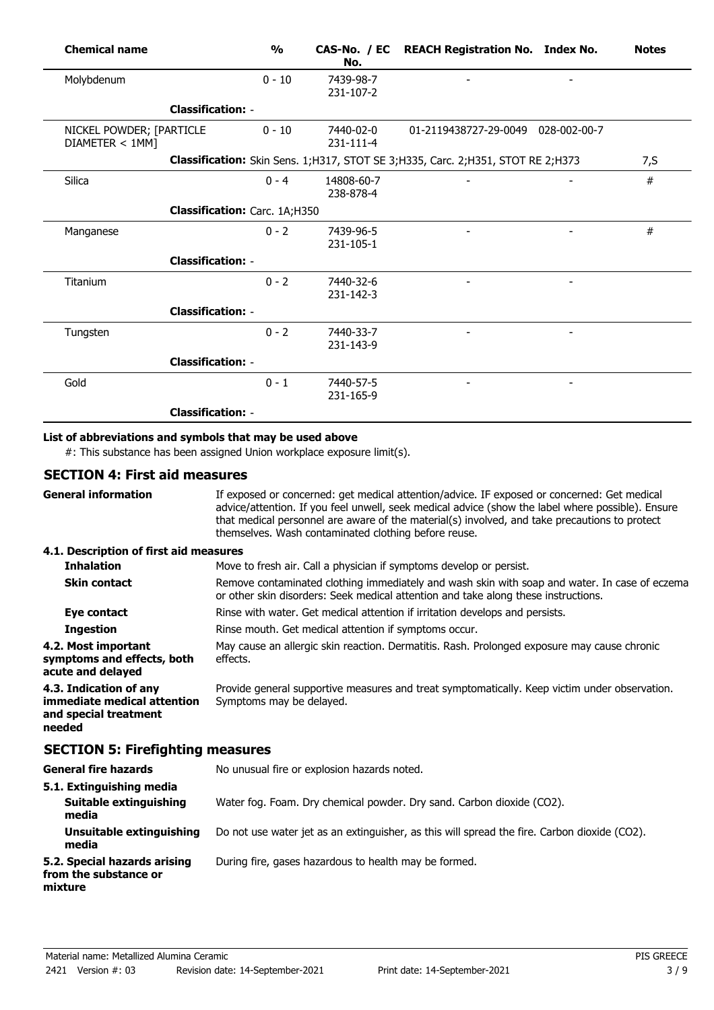| <b>Chemical name</b>                        |                               | $\frac{1}{2}$ | No.                     | CAS-No. / EC REACH Registration No. Index No.                                       | <b>Notes</b> |
|---------------------------------------------|-------------------------------|---------------|-------------------------|-------------------------------------------------------------------------------------|--------------|
| Molybdenum                                  |                               | $0 - 10$      | 7439-98-7<br>231-107-2  |                                                                                     |              |
|                                             | <b>Classification: -</b>      |               |                         |                                                                                     |              |
| NICKEL POWDER; [PARTICLE<br>DIAMETER < 1MM] |                               | $0 - 10$      | 7440-02-0<br>231-111-4  | 01-2119438727-29-0049 028-002-00-7                                                  |              |
|                                             |                               |               |                         | Classification: Skin Sens. 1; H317, STOT SE 3; H335, Carc. 2; H351, STOT RE 2; H373 | 7, S         |
| Silica                                      |                               | $0 - 4$       | 14808-60-7<br>238-878-4 |                                                                                     | #            |
|                                             | Classification: Carc. 1A;H350 |               |                         |                                                                                     |              |
| Manganese                                   |                               | $0 - 2$       | 7439-96-5<br>231-105-1  |                                                                                     | #            |
|                                             | <b>Classification: -</b>      |               |                         |                                                                                     |              |
| Titanium                                    |                               | $0 - 2$       | 7440-32-6<br>231-142-3  |                                                                                     |              |
|                                             | <b>Classification: -</b>      |               |                         |                                                                                     |              |
| Tungsten                                    |                               | $0 - 2$       | 7440-33-7<br>231-143-9  |                                                                                     |              |
|                                             | <b>Classification: -</b>      |               |                         |                                                                                     |              |
| Gold                                        |                               | $0 - 1$       | 7440-57-5<br>231-165-9  |                                                                                     |              |
|                                             | <b>Classification: -</b>      |               |                         |                                                                                     |              |

## **List of abbreviations and symbols that may be used above**

#: This substance has been assigned Union workplace exposure limit(s).

## **SECTION 4: First aid measures**

| <b>General information</b>                                                               | If exposed or concerned: get medical attention/advice. IF exposed or concerned: Get medical<br>advice/attention. If you feel unwell, seek medical advice (show the label where possible). Ensure<br>that medical personnel are aware of the material(s) involved, and take precautions to protect<br>themselves. Wash contaminated clothing before reuse. |
|------------------------------------------------------------------------------------------|-----------------------------------------------------------------------------------------------------------------------------------------------------------------------------------------------------------------------------------------------------------------------------------------------------------------------------------------------------------|
| 4.1. Description of first aid measures                                                   |                                                                                                                                                                                                                                                                                                                                                           |
| <b>Inhalation</b>                                                                        | Move to fresh air. Call a physician if symptoms develop or persist.                                                                                                                                                                                                                                                                                       |
| <b>Skin contact</b>                                                                      | Remove contaminated clothing immediately and wash skin with soap and water. In case of eczema<br>or other skin disorders: Seek medical attention and take along these instructions.                                                                                                                                                                       |
| Eye contact                                                                              | Rinse with water. Get medical attention if irritation develops and persists.                                                                                                                                                                                                                                                                              |
| <b>Ingestion</b>                                                                         | Rinse mouth. Get medical attention if symptoms occur.                                                                                                                                                                                                                                                                                                     |
| 4.2. Most important<br>symptoms and effects, both<br>acute and delayed                   | May cause an allergic skin reaction. Dermatitis. Rash. Prolonged exposure may cause chronic<br>effects.                                                                                                                                                                                                                                                   |
| 4.3. Indication of any<br>immediate medical attention<br>and special treatment<br>needed | Provide general supportive measures and treat symptomatically. Keep victim under observation.<br>Symptoms may be delayed.                                                                                                                                                                                                                                 |
| <b>SECTION 5: Firefighting measures</b>                                                  |                                                                                                                                                                                                                                                                                                                                                           |
| <b>General fire hazards</b>                                                              | No unusual fire or explosion hazards noted.                                                                                                                                                                                                                                                                                                               |
| 5.1. Extinguishing media<br>Suitable extinguishing<br>media                              | Water fog. Foam. Dry chemical powder. Dry sand. Carbon dioxide (CO2).                                                                                                                                                                                                                                                                                     |
| Unsuitable extinguishing<br>media                                                        | Do not use water jet as an extinguisher, as this will spread the fire. Carbon dioxide (CO2).                                                                                                                                                                                                                                                              |
| 5.2. Special hazards arising<br>from the substance or<br>mixture                         | During fire, gases hazardous to health may be formed.                                                                                                                                                                                                                                                                                                     |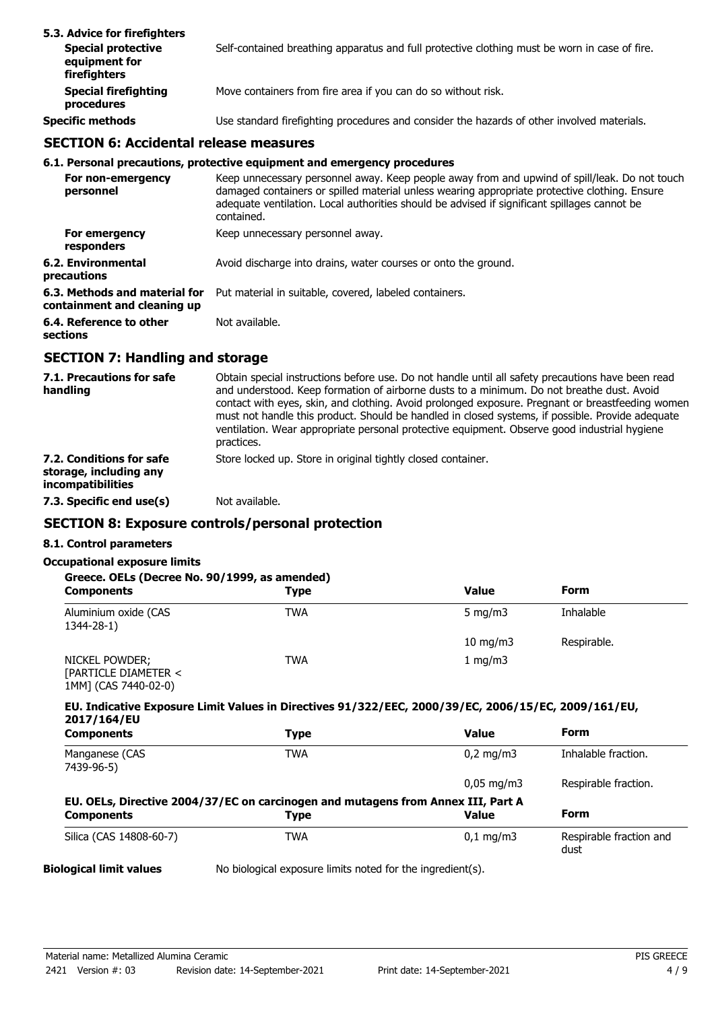| 5.3. Advice for firefighters<br><b>Special protective</b><br>equipment for<br>firefighters | Self-contained breathing apparatus and full protective clothing must be worn in case of fire. |
|--------------------------------------------------------------------------------------------|-----------------------------------------------------------------------------------------------|
| <b>Special firefighting</b><br>procedures                                                  | Move containers from fire area if you can do so without risk.                                 |
| <b>Specific methods</b>                                                                    | Use standard firefighting procedures and consider the hazards of other involved materials.    |

## **SECTION 6: Accidental release measures**

#### **6.1. Personal precautions, protective equipment and emergency procedures**

| For non-emergency<br>personnel                               | Keep unnecessary personnel away. Keep people away from and upwind of spill/leak. Do not touch<br>damaged containers or spilled material unless wearing appropriate protective clothing. Ensure<br>adequate ventilation. Local authorities should be advised if significant spillages cannot be<br>contained. |
|--------------------------------------------------------------|--------------------------------------------------------------------------------------------------------------------------------------------------------------------------------------------------------------------------------------------------------------------------------------------------------------|
| For emergency<br>responders                                  | Keep unnecessary personnel away.                                                                                                                                                                                                                                                                             |
| 6.2. Environmental<br>precautions                            | Avoid discharge into drains, water courses or onto the ground.                                                                                                                                                                                                                                               |
| 6.3. Methods and material for<br>containment and cleaning up | Put material in suitable, covered, labeled containers.                                                                                                                                                                                                                                                       |
| 6.4. Reference to other<br>sections                          | Not available.                                                                                                                                                                                                                                                                                               |

## **SECTION 7: Handling and storage**

| 7.1. Precautions for safe<br>handling                                          | Obtain special instructions before use. Do not handle until all safety precautions have been read<br>and understood. Keep formation of airborne dusts to a minimum. Do not breathe dust. Avoid<br>contact with eyes, skin, and clothing. Avoid prolonged exposure. Pregnant or breastfeeding women<br>must not handle this product. Should be handled in closed systems, if possible. Provide adequate<br>ventilation. Wear appropriate personal protective equipment. Observe good industrial hygiene<br>practices. |
|--------------------------------------------------------------------------------|----------------------------------------------------------------------------------------------------------------------------------------------------------------------------------------------------------------------------------------------------------------------------------------------------------------------------------------------------------------------------------------------------------------------------------------------------------------------------------------------------------------------|
| 7.2. Conditions for safe<br>storage, including any<br><i>incompatibilities</i> | Store locked up. Store in original tightly closed container.                                                                                                                                                                                                                                                                                                                                                                                                                                                         |
| 7.3. Specific end use(s)                                                       | Not available.                                                                                                                                                                                                                                                                                                                                                                                                                                                                                                       |

# **SECTION 8: Exposure controls/personal protection**

# **8.1. Control parameters**

## **Occupational exposure limits**

|  | Greece. OELs (Decree No. 90/1999, as amended) |  |
|--|-----------------------------------------------|--|
|--|-----------------------------------------------|--|

| <b>Components</b>                      | Type | <b>Value</b> | <b>Form</b> |  |
|----------------------------------------|------|--------------|-------------|--|
| Aluminium oxide (CAS<br>1344-28-1)     | TWA  | 5 mg/m $3$   | Inhalable   |  |
|                                        |      | 10 mg/m $3$  | Respirable. |  |
| NICKEL POWDER;<br>[PARTICLE DIAMETER < | TWA  | 1 mg/m $3$   |             |  |

1MM] (CAS 7440-02-0)

**EU. Indicative Exposure Limit Values in Directives 91/322/EEC, 2000/39/EC, 2006/15/EC, 2009/161/EU, 2017/164/EU**

| <b>Components</b>                                                                | <b>Type</b> | <b>Value</b>           | <b>Form</b>                     |
|----------------------------------------------------------------------------------|-------------|------------------------|---------------------------------|
| Manganese (CAS<br>7439-96-5)                                                     | TWA         | $0.2 \text{ mg/m}$     | Inhalable fraction.             |
|                                                                                  |             | $0.05 \,\mathrm{mg/m}$ | Respirable fraction.            |
| EU. OELs, Directive 2004/37/EC on carcinogen and mutagens from Annex III, Part A |             |                        |                                 |
| <b>Components</b>                                                                | <b>Type</b> | <b>Value</b>           | Form                            |
| Silica (CAS 14808-60-7)                                                          | TWA         | $0.1 \,\mathrm{mq/m}$  | Respirable fraction and<br>dust |

**Biological limit values** No biological exposure limits noted for the ingredient(s).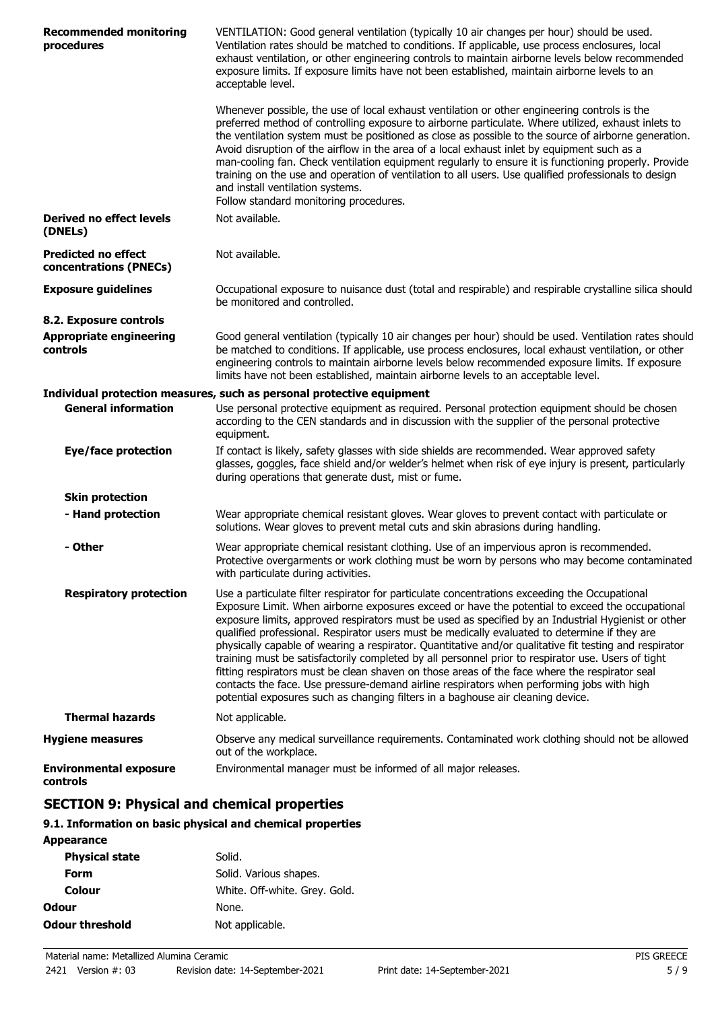| <b>Recommended monitoring</b><br>procedures          | VENTILATION: Good general ventilation (typically 10 air changes per hour) should be used.<br>Ventilation rates should be matched to conditions. If applicable, use process enclosures, local<br>exhaust ventilation, or other engineering controls to maintain airborne levels below recommended<br>exposure limits. If exposure limits have not been established, maintain airborne levels to an<br>acceptable level.                                                                                                                                                                                                                                                                                                                                                                                                                                                                                    |
|------------------------------------------------------|-----------------------------------------------------------------------------------------------------------------------------------------------------------------------------------------------------------------------------------------------------------------------------------------------------------------------------------------------------------------------------------------------------------------------------------------------------------------------------------------------------------------------------------------------------------------------------------------------------------------------------------------------------------------------------------------------------------------------------------------------------------------------------------------------------------------------------------------------------------------------------------------------------------|
|                                                      | Whenever possible, the use of local exhaust ventilation or other engineering controls is the<br>preferred method of controlling exposure to airborne particulate. Where utilized, exhaust inlets to<br>the ventilation system must be positioned as close as possible to the source of airborne generation.<br>Avoid disruption of the airflow in the area of a local exhaust inlet by equipment such as a<br>man-cooling fan. Check ventilation equipment regularly to ensure it is functioning properly. Provide<br>training on the use and operation of ventilation to all users. Use qualified professionals to design<br>and install ventilation systems.<br>Follow standard monitoring procedures.                                                                                                                                                                                                  |
| <b>Derived no effect levels</b><br>(DNELs)           | Not available.                                                                                                                                                                                                                                                                                                                                                                                                                                                                                                                                                                                                                                                                                                                                                                                                                                                                                            |
| <b>Predicted no effect</b><br>concentrations (PNECs) | Not available.                                                                                                                                                                                                                                                                                                                                                                                                                                                                                                                                                                                                                                                                                                                                                                                                                                                                                            |
| <b>Exposure guidelines</b>                           | Occupational exposure to nuisance dust (total and respirable) and respirable crystalline silica should<br>be monitored and controlled.                                                                                                                                                                                                                                                                                                                                                                                                                                                                                                                                                                                                                                                                                                                                                                    |
| 8.2. Exposure controls                               |                                                                                                                                                                                                                                                                                                                                                                                                                                                                                                                                                                                                                                                                                                                                                                                                                                                                                                           |
| <b>Appropriate engineering</b><br>controls           | Good general ventilation (typically 10 air changes per hour) should be used. Ventilation rates should<br>be matched to conditions. If applicable, use process enclosures, local exhaust ventilation, or other<br>engineering controls to maintain airborne levels below recommended exposure limits. If exposure<br>limits have not been established, maintain airborne levels to an acceptable level.                                                                                                                                                                                                                                                                                                                                                                                                                                                                                                    |
|                                                      | Individual protection measures, such as personal protective equipment                                                                                                                                                                                                                                                                                                                                                                                                                                                                                                                                                                                                                                                                                                                                                                                                                                     |
| <b>General information</b>                           | Use personal protective equipment as required. Personal protection equipment should be chosen<br>according to the CEN standards and in discussion with the supplier of the personal protective<br>equipment.                                                                                                                                                                                                                                                                                                                                                                                                                                                                                                                                                                                                                                                                                              |
| <b>Eye/face protection</b>                           | If contact is likely, safety glasses with side shields are recommended. Wear approved safety<br>glasses, goggles, face shield and/or welder's helmet when risk of eye injury is present, particularly<br>during operations that generate dust, mist or fume.                                                                                                                                                                                                                                                                                                                                                                                                                                                                                                                                                                                                                                              |
| <b>Skin protection</b>                               |                                                                                                                                                                                                                                                                                                                                                                                                                                                                                                                                                                                                                                                                                                                                                                                                                                                                                                           |
| - Hand protection                                    | Wear appropriate chemical resistant gloves. Wear gloves to prevent contact with particulate or<br>solutions. Wear gloves to prevent metal cuts and skin abrasions during handling.                                                                                                                                                                                                                                                                                                                                                                                                                                                                                                                                                                                                                                                                                                                        |
| - Other                                              | Wear appropriate chemical resistant clothing. Use of an impervious apron is recommended.<br>Protective overgarments or work clothing must be worn by persons who may become contaminated<br>with particulate during activities.                                                                                                                                                                                                                                                                                                                                                                                                                                                                                                                                                                                                                                                                           |
| <b>Respiratory protection</b>                        | Use a particulate filter respirator for particulate concentrations exceeding the Occupational<br>Exposure Limit. When airborne exposures exceed or have the potential to exceed the occupational<br>exposure limits, approved respirators must be used as specified by an Industrial Hygienist or other<br>qualified professional. Respirator users must be medically evaluated to determine if they are<br>physically capable of wearing a respirator. Quantitative and/or qualitative fit testing and respirator<br>training must be satisfactorily completed by all personnel prior to respirator use. Users of tight<br>fitting respirators must be clean shaven on those areas of the face where the respirator seal<br>contacts the face. Use pressure-demand airline respirators when performing jobs with high<br>potential exposures such as changing filters in a baghouse air cleaning device. |
| <b>Thermal hazards</b>                               | Not applicable.                                                                                                                                                                                                                                                                                                                                                                                                                                                                                                                                                                                                                                                                                                                                                                                                                                                                                           |
| <b>Hygiene measures</b>                              | Observe any medical surveillance requirements. Contaminated work clothing should not be allowed<br>out of the workplace.                                                                                                                                                                                                                                                                                                                                                                                                                                                                                                                                                                                                                                                                                                                                                                                  |
| <b>Environmental exposure</b><br>controls            | Environmental manager must be informed of all major releases.                                                                                                                                                                                                                                                                                                                                                                                                                                                                                                                                                                                                                                                                                                                                                                                                                                             |
| CEATIAN A. BL                                        | ومتوسد المواسوم وامراه مرورات                                                                                                                                                                                                                                                                                                                                                                                                                                                                                                                                                                                                                                                                                                                                                                                                                                                                             |

# **SECTION 9: Physical and chemical properties**

# **9.1. Information on basic physical and chemical properties**

| <b>Appearance</b>      |                               |
|------------------------|-------------------------------|
| <b>Physical state</b>  | Solid.                        |
| Form                   | Solid. Various shapes.        |
| Colour                 | White. Off-white. Grey. Gold. |
| Odour                  | None.                         |
| <b>Odour threshold</b> | Not applicable.               |
|                        |                               |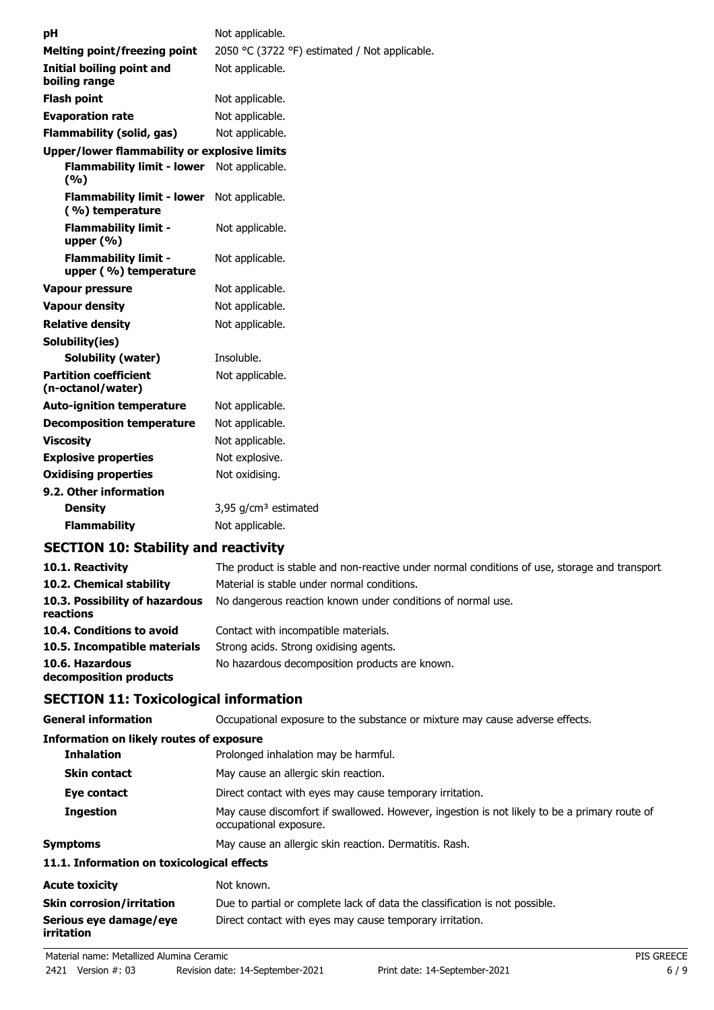| рH                                                   | Not applicable.                               |
|------------------------------------------------------|-----------------------------------------------|
| <b>Melting point/freezing point</b>                  | 2050 °C (3722 °F) estimated / Not applicable. |
| Initial boiling point and<br>boiling range           | Not applicable.                               |
| <b>Flash point</b>                                   | Not applicable.                               |
| <b>Evaporation rate</b>                              | Not applicable.                               |
| Flammability (solid, gas)                            | Not applicable.                               |
| Upper/lower flammability or explosive limits         |                                               |
| <b>Flammability limit - lower</b><br>(%)             | Not applicable.                               |
| <b>Flammability limit - lower</b><br>(%) temperature | Not applicable.                               |
| <b>Flammability limit -</b><br>upper $(% )$          | Not applicable.                               |
| <b>Flammability limit -</b><br>upper (%) temperature | Not applicable.                               |
| <b>Vapour pressure</b>                               | Not applicable.                               |
| <b>Vapour density</b>                                | Not applicable.                               |
| <b>Relative density</b>                              | Not applicable.                               |
| Solubility(ies)                                      |                                               |
| <b>Solubility (water)</b>                            | Insoluble.                                    |
| <b>Partition coefficient</b><br>(n-octanol/water)    | Not applicable.                               |
| <b>Auto-ignition temperature</b>                     | Not applicable.                               |
| <b>Decomposition temperature</b>                     | Not applicable.                               |
| <b>Viscosity</b>                                     | Not applicable.                               |
| <b>Explosive properties</b>                          | Not explosive.                                |
| <b>Oxidising properties</b>                          | Not oxidising.                                |
| 9.2. Other information                               |                                               |
| <b>Density</b>                                       | 3,95 $g/cm3$ estimated                        |
| <b>Flammability</b>                                  | Not applicable.                               |
|                                                      | .                                             |

# **SECTION 10: Stability and reactivity**

| 10.1. Reactivity<br>10.2. Chemical stability | The product is stable and non-reactive under normal conditions of use, storage and transport.<br>Material is stable under normal conditions. |
|----------------------------------------------|----------------------------------------------------------------------------------------------------------------------------------------------|
| 10.3. Possibility of hazardous<br>reactions  | No dangerous reaction known under conditions of normal use.                                                                                  |
| 10.4. Conditions to avoid                    | Contact with incompatible materials.                                                                                                         |
| 10.5. Incompatible materials                 | Strong acids. Strong oxidising agents.                                                                                                       |
| 10.6. Hazardous<br>decomposition products    | No hazardous decomposition products are known.                                                                                               |

# **SECTION 11: Toxicological information**

| <b>General information</b>                 | Occupational exposure to the substance or mixture may cause adverse effects.                                           |  |  |
|--------------------------------------------|------------------------------------------------------------------------------------------------------------------------|--|--|
| Information on likely routes of exposure   |                                                                                                                        |  |  |
| <b>Inhalation</b>                          | Prolonged inhalation may be harmful.                                                                                   |  |  |
| <b>Skin contact</b>                        | May cause an allergic skin reaction.                                                                                   |  |  |
| Eye contact                                | Direct contact with eyes may cause temporary irritation.                                                               |  |  |
| <b>Ingestion</b>                           | May cause discomfort if swallowed. However, ingestion is not likely to be a primary route of<br>occupational exposure. |  |  |
| <b>Symptoms</b>                            | May cause an allergic skin reaction. Dermatitis. Rash.                                                                 |  |  |
| 11.1. Information on toxicological effects |                                                                                                                        |  |  |
| <b>Acute toxicity</b>                      | Not known.                                                                                                             |  |  |
| <b>Skin corrosion/irritation</b>           | Due to partial or complete lack of data the classification is not possible.                                            |  |  |
| Serious eye damage/eye<br>irritation       | Direct contact with eyes may cause temporary irritation.                                                               |  |  |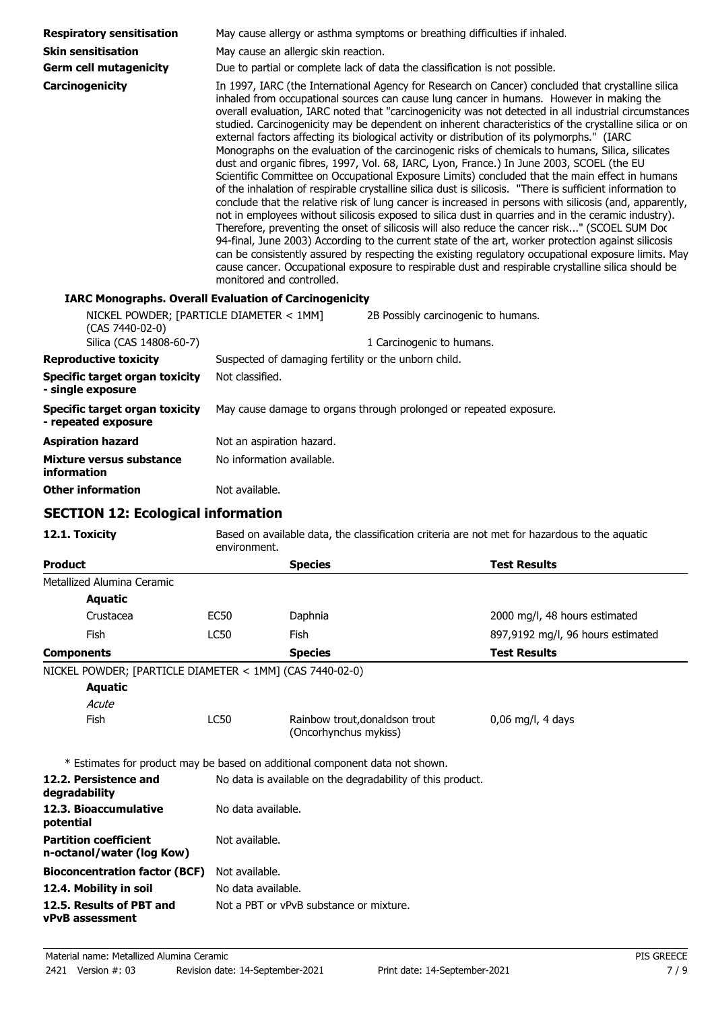| <b>Respiratory sensitisation</b>                                             | May cause allergy or asthma symptoms or breathing difficulties if inhaled.                                          |                                                         |                                                                                   |                                                                                                                                                                                                                                                                                                                                                                                                                                                                                                                                                                                                                                                                                                                                                                                                                                                                                                                                                                                                                                                                                                                                                                                                                                                                                                                                                                                                                                                                                                                                                                       |
|------------------------------------------------------------------------------|---------------------------------------------------------------------------------------------------------------------|---------------------------------------------------------|-----------------------------------------------------------------------------------|-----------------------------------------------------------------------------------------------------------------------------------------------------------------------------------------------------------------------------------------------------------------------------------------------------------------------------------------------------------------------------------------------------------------------------------------------------------------------------------------------------------------------------------------------------------------------------------------------------------------------------------------------------------------------------------------------------------------------------------------------------------------------------------------------------------------------------------------------------------------------------------------------------------------------------------------------------------------------------------------------------------------------------------------------------------------------------------------------------------------------------------------------------------------------------------------------------------------------------------------------------------------------------------------------------------------------------------------------------------------------------------------------------------------------------------------------------------------------------------------------------------------------------------------------------------------------|
| <b>Skin sensitisation</b>                                                    | May cause an allergic skin reaction.<br>Due to partial or complete lack of data the classification is not possible. |                                                         |                                                                                   |                                                                                                                                                                                                                                                                                                                                                                                                                                                                                                                                                                                                                                                                                                                                                                                                                                                                                                                                                                                                                                                                                                                                                                                                                                                                                                                                                                                                                                                                                                                                                                       |
| <b>Germ cell mutagenicity</b>                                                |                                                                                                                     |                                                         |                                                                                   |                                                                                                                                                                                                                                                                                                                                                                                                                                                                                                                                                                                                                                                                                                                                                                                                                                                                                                                                                                                                                                                                                                                                                                                                                                                                                                                                                                                                                                                                                                                                                                       |
| Carcinogenicity                                                              | monitored and controlled.                                                                                           |                                                         |                                                                                   | In 1997, IARC (the International Agency for Research on Cancer) concluded that crystalline silica<br>inhaled from occupational sources can cause lung cancer in humans. However in making the<br>overall evaluation, IARC noted that "carcinogenicity was not detected in all industrial circumstances<br>studied. Carcinogenicity may be dependent on inherent characteristics of the crystalline silica or on<br>external factors affecting its biological activity or distribution of its polymorphs." (IARC<br>Monographs on the evaluation of the carcinogenic risks of chemicals to humans, Silica, silicates<br>dust and organic fibres, 1997, Vol. 68, IARC, Lyon, France.) In June 2003, SCOEL (the EU<br>Scientific Committee on Occupational Exposure Limits) concluded that the main effect in humans<br>of the inhalation of respirable crystalline silica dust is silicosis. "There is sufficient information to<br>conclude that the relative risk of lung cancer is increased in persons with silicosis (and, apparently,<br>not in employees without silicosis exposed to silica dust in quarries and in the ceramic industry).<br>Therefore, preventing the onset of silicosis will also reduce the cancer risk" (SCOEL SUM Doc<br>94-final, June 2003) According to the current state of the art, worker protection against silicosis<br>can be consistently assured by respecting the existing regulatory occupational exposure limits. May<br>cause cancer. Occupational exposure to respirable dust and respirable crystalline silica should be |
| <b>IARC Monographs. Overall Evaluation of Carcinogenicity</b>                |                                                                                                                     |                                                         |                                                                                   |                                                                                                                                                                                                                                                                                                                                                                                                                                                                                                                                                                                                                                                                                                                                                                                                                                                                                                                                                                                                                                                                                                                                                                                                                                                                                                                                                                                                                                                                                                                                                                       |
| NICKEL POWDER; [PARTICLE DIAMETER < 1MM]<br>(CAS 7440-02-0)                  |                                                                                                                     |                                                         | 2B Possibly carcinogenic to humans.                                               |                                                                                                                                                                                                                                                                                                                                                                                                                                                                                                                                                                                                                                                                                                                                                                                                                                                                                                                                                                                                                                                                                                                                                                                                                                                                                                                                                                                                                                                                                                                                                                       |
| Silica (CAS 14808-60-7)<br><b>Reproductive toxicity</b>                      |                                                                                                                     |                                                         | 1 Carcinogenic to humans.<br>Suspected of damaging fertility or the unborn child. |                                                                                                                                                                                                                                                                                                                                                                                                                                                                                                                                                                                                                                                                                                                                                                                                                                                                                                                                                                                                                                                                                                                                                                                                                                                                                                                                                                                                                                                                                                                                                                       |
| <b>Specific target organ toxicity</b>                                        | Not classified.                                                                                                     |                                                         |                                                                                   |                                                                                                                                                                                                                                                                                                                                                                                                                                                                                                                                                                                                                                                                                                                                                                                                                                                                                                                                                                                                                                                                                                                                                                                                                                                                                                                                                                                                                                                                                                                                                                       |
| - single exposure                                                            |                                                                                                                     |                                                         |                                                                                   |                                                                                                                                                                                                                                                                                                                                                                                                                                                                                                                                                                                                                                                                                                                                                                                                                                                                                                                                                                                                                                                                                                                                                                                                                                                                                                                                                                                                                                                                                                                                                                       |
| <b>Specific target organ toxicity</b><br>- repeated exposure                 |                                                                                                                     |                                                         | May cause damage to organs through prolonged or repeated exposure.                |                                                                                                                                                                                                                                                                                                                                                                                                                                                                                                                                                                                                                                                                                                                                                                                                                                                                                                                                                                                                                                                                                                                                                                                                                                                                                                                                                                                                                                                                                                                                                                       |
| <b>Aspiration hazard</b>                                                     | Not an aspiration hazard.                                                                                           |                                                         |                                                                                   |                                                                                                                                                                                                                                                                                                                                                                                                                                                                                                                                                                                                                                                                                                                                                                                                                                                                                                                                                                                                                                                                                                                                                                                                                                                                                                                                                                                                                                                                                                                                                                       |
| Mixture versus substance<br><b>information</b>                               | No information available.                                                                                           |                                                         |                                                                                   |                                                                                                                                                                                                                                                                                                                                                                                                                                                                                                                                                                                                                                                                                                                                                                                                                                                                                                                                                                                                                                                                                                                                                                                                                                                                                                                                                                                                                                                                                                                                                                       |
| <b>Other information</b>                                                     | Not available.                                                                                                      |                                                         |                                                                                   |                                                                                                                                                                                                                                                                                                                                                                                                                                                                                                                                                                                                                                                                                                                                                                                                                                                                                                                                                                                                                                                                                                                                                                                                                                                                                                                                                                                                                                                                                                                                                                       |
| <b>SECTION 12: Ecological information</b>                                    |                                                                                                                     |                                                         |                                                                                   |                                                                                                                                                                                                                                                                                                                                                                                                                                                                                                                                                                                                                                                                                                                                                                                                                                                                                                                                                                                                                                                                                                                                                                                                                                                                                                                                                                                                                                                                                                                                                                       |
| 12.1. Toxicity                                                               | environment.                                                                                                        |                                                         |                                                                                   | Based on available data, the classification criteria are not met for hazardous to the aquatic                                                                                                                                                                                                                                                                                                                                                                                                                                                                                                                                                                                                                                                                                                                                                                                                                                                                                                                                                                                                                                                                                                                                                                                                                                                                                                                                                                                                                                                                         |
| <b>Product</b>                                                               |                                                                                                                     | <b>Species</b>                                          |                                                                                   | <b>Test Results</b>                                                                                                                                                                                                                                                                                                                                                                                                                                                                                                                                                                                                                                                                                                                                                                                                                                                                                                                                                                                                                                                                                                                                                                                                                                                                                                                                                                                                                                                                                                                                                   |
| Metallized Alumina Ceramic                                                   |                                                                                                                     |                                                         |                                                                                   |                                                                                                                                                                                                                                                                                                                                                                                                                                                                                                                                                                                                                                                                                                                                                                                                                                                                                                                                                                                                                                                                                                                                                                                                                                                                                                                                                                                                                                                                                                                                                                       |
| <b>Aquatic</b>                                                               |                                                                                                                     |                                                         |                                                                                   |                                                                                                                                                                                                                                                                                                                                                                                                                                                                                                                                                                                                                                                                                                                                                                                                                                                                                                                                                                                                                                                                                                                                                                                                                                                                                                                                                                                                                                                                                                                                                                       |
| Crustacea                                                                    | <b>EC50</b>                                                                                                         | Daphnia                                                 |                                                                                   | 2000 mg/l, 48 hours estimated                                                                                                                                                                                                                                                                                                                                                                                                                                                                                                                                                                                                                                                                                                                                                                                                                                                                                                                                                                                                                                                                                                                                                                                                                                                                                                                                                                                                                                                                                                                                         |
| Fish                                                                         | <b>LC50</b>                                                                                                         | Fish                                                    |                                                                                   | 897,9192 mg/l, 96 hours estimated                                                                                                                                                                                                                                                                                                                                                                                                                                                                                                                                                                                                                                                                                                                                                                                                                                                                                                                                                                                                                                                                                                                                                                                                                                                                                                                                                                                                                                                                                                                                     |
| <b>Components</b>                                                            |                                                                                                                     | <b>Species</b>                                          |                                                                                   | <b>Test Results</b>                                                                                                                                                                                                                                                                                                                                                                                                                                                                                                                                                                                                                                                                                                                                                                                                                                                                                                                                                                                                                                                                                                                                                                                                                                                                                                                                                                                                                                                                                                                                                   |
| NICKEL POWDER; [PARTICLE DIAMETER < 1MM] (CAS 7440-02-0)<br><b>Aquatic</b>   |                                                                                                                     |                                                         |                                                                                   |                                                                                                                                                                                                                                                                                                                                                                                                                                                                                                                                                                                                                                                                                                                                                                                                                                                                                                                                                                                                                                                                                                                                                                                                                                                                                                                                                                                                                                                                                                                                                                       |
| Acute                                                                        |                                                                                                                     |                                                         |                                                                                   |                                                                                                                                                                                                                                                                                                                                                                                                                                                                                                                                                                                                                                                                                                                                                                                                                                                                                                                                                                                                                                                                                                                                                                                                                                                                                                                                                                                                                                                                                                                                                                       |
| Fish                                                                         | LC50                                                                                                                | Rainbow trout, donaldson trout<br>(Oncorhynchus mykiss) |                                                                                   | $0,06$ mg/l, 4 days                                                                                                                                                                                                                                                                                                                                                                                                                                                                                                                                                                                                                                                                                                                                                                                                                                                                                                                                                                                                                                                                                                                                                                                                                                                                                                                                                                                                                                                                                                                                                   |
| * Estimates for product may be based on additional component data not shown. |                                                                                                                     |                                                         |                                                                                   |                                                                                                                                                                                                                                                                                                                                                                                                                                                                                                                                                                                                                                                                                                                                                                                                                                                                                                                                                                                                                                                                                                                                                                                                                                                                                                                                                                                                                                                                                                                                                                       |
| 12.2. Persistence and<br>degradability                                       |                                                                                                                     |                                                         | No data is available on the degradability of this product.                        |                                                                                                                                                                                                                                                                                                                                                                                                                                                                                                                                                                                                                                                                                                                                                                                                                                                                                                                                                                                                                                                                                                                                                                                                                                                                                                                                                                                                                                                                                                                                                                       |
| 12.3. Bioaccumulative<br>potential                                           | No data available.                                                                                                  |                                                         |                                                                                   |                                                                                                                                                                                                                                                                                                                                                                                                                                                                                                                                                                                                                                                                                                                                                                                                                                                                                                                                                                                                                                                                                                                                                                                                                                                                                                                                                                                                                                                                                                                                                                       |
| <b>Partition coefficient</b>                                                 | Not available.                                                                                                      |                                                         |                                                                                   |                                                                                                                                                                                                                                                                                                                                                                                                                                                                                                                                                                                                                                                                                                                                                                                                                                                                                                                                                                                                                                                                                                                                                                                                                                                                                                                                                                                                                                                                                                                                                                       |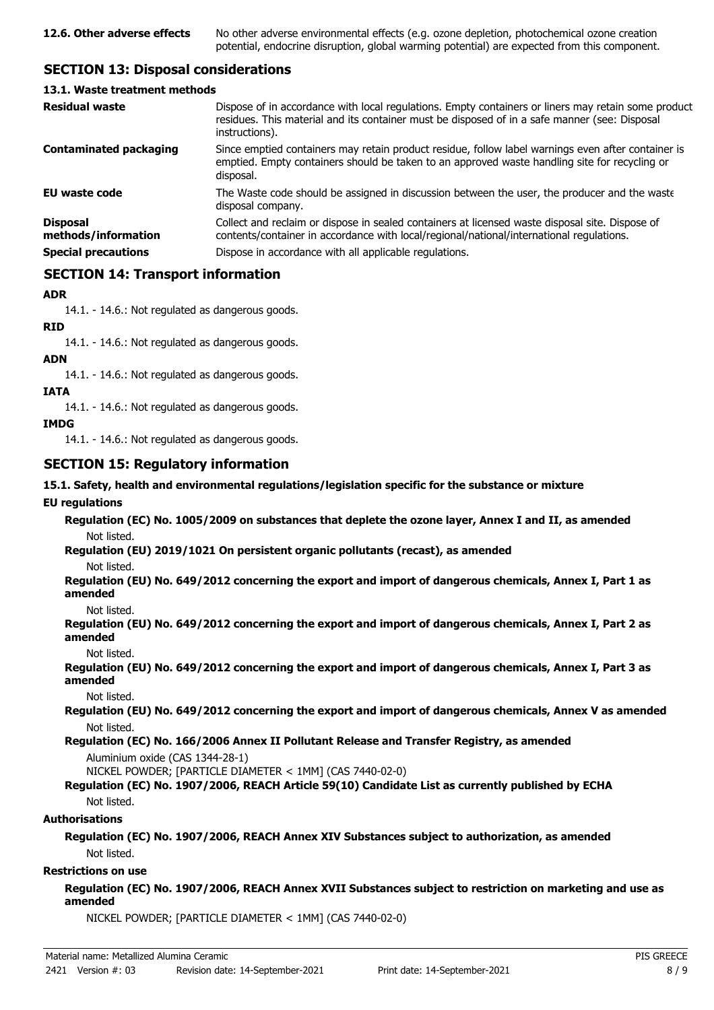# **SECTION 13: Disposal considerations**

#### **13.1. Waste treatment methods**

| <b>Residual waste</b>                                                | Dispose of in accordance with local regulations. Empty containers or liners may retain some product<br>residues. This material and its container must be disposed of in a safe manner (see: Disposal<br>instructions).                                |
|----------------------------------------------------------------------|-------------------------------------------------------------------------------------------------------------------------------------------------------------------------------------------------------------------------------------------------------|
| <b>Contaminated packaging</b>                                        | Since emptied containers may retain product residue, follow label warnings even after container is<br>emptied. Empty containers should be taken to an approved waste handling site for recycling or<br>disposal.                                      |
| <b>EU waste code</b>                                                 | The Waste code should be assigned in discussion between the user, the producer and the waste<br>disposal company.                                                                                                                                     |
| <b>Disposal</b><br>methods/information<br><b>Special precautions</b> | Collect and reclaim or dispose in sealed containers at licensed waste disposal site. Dispose of<br>contents/container in accordance with local/regional/national/international regulations.<br>Dispose in accordance with all applicable regulations. |
|                                                                      |                                                                                                                                                                                                                                                       |

# **SECTION 14: Transport information**

## **ADR**

14.1. - 14.6.: Not regulated as dangerous goods.

**RID**

14.1. - 14.6.: Not regulated as dangerous goods.

### **ADN**

14.1. - 14.6.: Not regulated as dangerous goods.

## **IATA**

14.1. - 14.6.: Not regulated as dangerous goods.

## **IMDG**

14.1. - 14.6.: Not regulated as dangerous goods.

# **SECTION 15: Regulatory information**

## **15.1. Safety, health and environmental regulations/legislation specific for the substance or mixture**

## **EU regulations**

**Regulation (EC) No. 1005/2009 on substances that deplete the ozone layer, Annex I and II, as amended** Not listed.

**Regulation (EU) 2019/1021 On persistent organic pollutants (recast), as amended**

Not listed.

**Regulation (EU) No. 649/2012 concerning the export and import of dangerous chemicals, Annex I, Part 1 as amended**

Not listed.

**Regulation (EU) No. 649/2012 concerning the export and import of dangerous chemicals, Annex I, Part 2 as amended**

Not listed.

**Regulation (EU) No. 649/2012 concerning the export and import of dangerous chemicals, Annex I, Part 3 as amended**

Not listed.

**Regulation (EU) No. 649/2012 concerning the export and import of dangerous chemicals, Annex V as amended** Not listed.

**Regulation (EC) No. 166/2006 Annex II Pollutant Release and Transfer Registry, as amended**

Aluminium oxide (CAS 1344-28-1)

NICKEL POWDER; [PARTICLE DIAMETER < 1MM] (CAS 7440-02-0)

## **Regulation (EC) No. 1907/2006, REACH Article 59(10) Candidate List as currently published by ECHA** Not listed.

## **Authorisations**

**Regulation (EC) No. 1907/2006, REACH Annex XIV Substances subject to authorization, as amended** Not listed.

## **Restrictions on use**

### **Regulation (EC) No. 1907/2006, REACH Annex XVII Substances subject to restriction on marketing and use as amended**

NICKEL POWDER; [PARTICLE DIAMETER < 1MM] (CAS 7440-02-0)